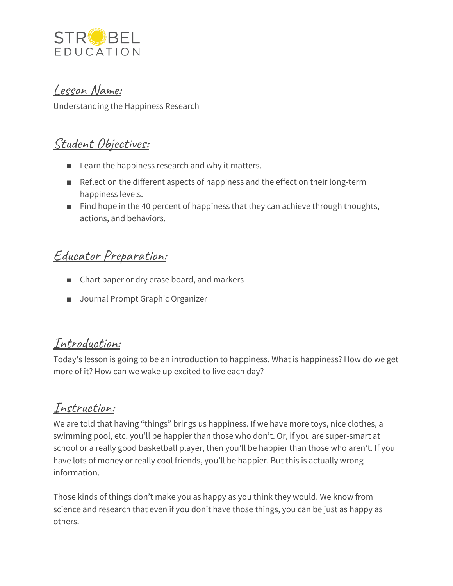

#### Lesson Name:

Understanding the Happiness Research

# Student Objectives:

- Learn the happiness research and why it matters.
- Reflect on the different aspects of happiness and the effect on their long-term happiness levels.
- Find hope in the 40 percent of happiness that they can achieve through thoughts, actions, and behaviors.

# Educator Preparation:

- Chart paper or dry erase board, and markers
- Journal Prompt Graphic Organizer

### Introduction:

Today's lesson is going to be an introduction to happiness. What is happiness? How do we get more of it? How can we wake up excited to live each day?

### Instruction:

We are told that having "things" brings us happiness. If we have more toys, nice clothes, a swimming pool, etc. you'll be happier than those who don't. Or, if you are super-smart at school or a really good basketball player, then you'll be happier than those who aren't. If you have lots of money or really cool friends, you'll be happier. But this is actually wrong information.

Those kinds of things don't make you as happy as you think they would. We know from science and research that even if you don't have those things, you can be just as happy as others.